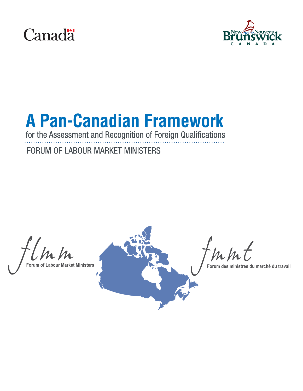



# **A Pan-Canadian Framework**

for the Assessment and Recognition of Foreign Qualifications

# FORUM OF LABOUR MARKET MINISTERS

Unh



 $m/h$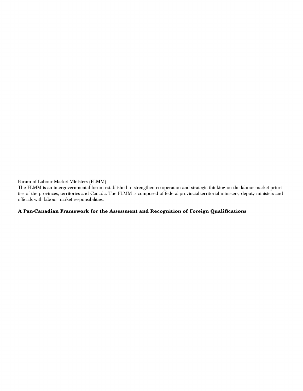Forum of Labour Market Ministers (FLMM)

The FLMM is an intergovernmental forum established to strengthen co-operation and strategic thinking on the labour market priorities of the provinces, territories and Canada. The FLMM is composed of federal-provincial-territorial ministers, deputy ministers and officials with labour market responsibilities.

#### A Pan-Canadian Framework for the Assessment and Recognition of Foreign Qualifications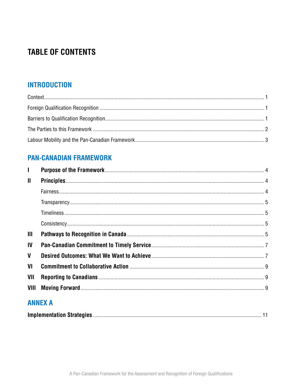# **TABLE OF CONTENTS**

## **INTRODUCTION**

## **PAN-CANADIAN FRAMEWORK**

| $\mathbf{I}$   |                |  |
|----------------|----------------|--|
| $\mathbf{I}$   |                |  |
|                |                |  |
|                |                |  |
|                |                |  |
|                |                |  |
| $\mathbf{III}$ |                |  |
| IV             |                |  |
| $\mathbf v$    |                |  |
| VI             |                |  |
| VII            |                |  |
| VIII           |                |  |
|                | <b>ANNEX A</b> |  |

|--|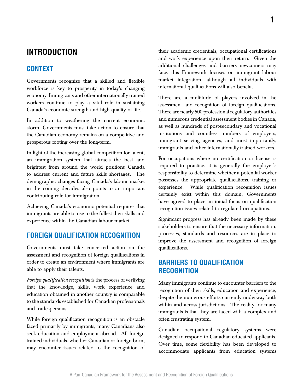## **INTRODUCTION**

## **CONTEXT**

Governments recognize that a skilled and flexible workforce is key to prosperity in today's changing economy. Immigrants and other internationally-trained workers continue to play a vital role in sustaining Canada's economic strength and high quality of life.

In addition to weathering the current economic storm, Governments must take action to ensure that the Canadian economy remains on a competitive and prosperous footing over the long-term.

In light of the increasing global competition for talent, an immigration system that attracts the best and brightest from around the world positions Canada to address current and future skills shortages. The demographic changes facing Canada's labour market in the coming decades also points to an important contributing role for immigration.

Achieving Canada's economic potential requires that immigrants are able to use to the fullest their skills and experience within the Canadian labour market.

#### **FOREIGN QUALIFICATION RECOGNITION**

Governments must take concerted action on the assessment and recognition of foreign qualifications in order to create an environment where immigrants are able to apply their talents.

*Foreign qualification recognition* is the process of verifying that the knowledge, skills, work experience and education obtained in another country is comparable to the standards established for Canadian professionals and tradespersons.

While foreign qualification recognition is an obstacle faced primarily by immigrants, many Canadians also seek education and employment abroad. All foreign trained individuals, whether Canadian or foreign-born, may encounter issues related to the recognition of

their academic credentials, occupational certifications and work experience upon their return. Given the additional challenges and barriers newcomers may face, this Framework focuses on immigrant labour market integration, although all individuals with international qualifications will also benefit.

There are a multitude of players involved in the assessment and recognition of foreign qualifications. There are nearly 500 professional regulatory authorities and numerous credential assessment bodies in Canada, as well as hundreds of post-secondary and vocational institutions and countless numbers of employers, immigrant serving agencies, and most importantly, immigrants and other internationally-trained workers.

For occupations where no certification or license is required to practice, it is generally the employer's responsibility to determine whether a potential worker possesses the appropriate qualifications, training or experience. While qualification recognition issues certainly exist within this domain, Governments have agreed to place an initial focus on qualification recognition issues related to regulated occupations.

Significant progress has already been made by these stakeholders to ensure that the necessary information, processes, standards and resources are in place to improve the assessment and recognition of foreign qualifications.

## **BARRIERS TO QUALIFICATION RECOGNITION**

Many immigrants continue to encounter barriers to the recognition of their skills, education and experience, despite the numerous efforts currently underway both within and across jurisdictions. The reality for many immigrants is that they are faced with a complex and often frustrating system.

Canadian occupational regulatory systems were designed to respond to Canadian-educated applicants. Over time, some flexibility has been developed to accommodate applicants from education systems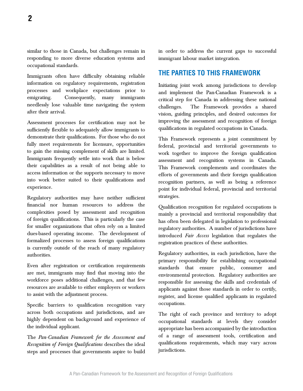similar to those in Canada, but challenges remain in responding to more diverse education systems and occupational standards.

Immigrants often have difficulty obtaining reliable information on regulatory requirements, registration processes and workplace expectations prior to emigrating. Consequently, many immigrants needlessly lose valuable time navigating the system after their arrival.

Assessment processes for certification may not be sufficiently flexible to adequately allow immigrants to demonstrate their qualifications. For those who do not fully meet requirements for licensure, opportunities to gain the missing complement of skills are limited. Immigrants frequently settle into work that is below their capabilities as a result of not being able to access information or the supports necessary to move into work better suited to their qualifications and experience.

Regulatory authorities may have neither sufficient financial nor human resources to address the complexities posed by assessment and recognition of foreign qualifications. This is particularly the case for smaller organizations that often rely on a limited dues-based operating income. The development of formalized processes to assess foreign qualifications is currently outside of the reach of many regulatory authorities.

Even after registration or certification requirements are met, immigrants may find that moving into the workforce poses additional challenges, and that few resources are available to either employers or workers to assist with the adjustment process.

Specific barriers to qualification recognition vary across both occupations and jurisdictions, and are highly dependent on background and experience of the individual applicant.

The *Pan-Canadian Framework for the Assessment and Recognition of Foreign Qualifications* describes the ideal steps and processes that governments aspire to build

in order to address the current gaps to successful immigrant labour market integration.

#### **THE PARTIES TO THIS FRAMEWORK**

Initiating joint work among jurisdictions to develop and implement the Pan-Canadian Framework is a critical step for Canada in addressing these national challenges. The Framework provides a shared vision, guiding principles, and desired outcomes for improving the assessment and recognition of foreign qualifications in regulated occupations in Canada.

This Framework represents a joint commitment by federal, provincial and territorial governments to work together to improve the foreign qualification assessment and recognition systems in Canada. This Framework complements and coordinates the efforts of governments and their foreign qualification recognition partners, as well as being a reference point for individual federal, provincial and territorial strategies.

Qualification recognition for regulated occupations is mainly a provincial and territorial responsibility that has often been delegated in legislation to professional regulatory authorities. A number of jurisdictions have introduced *Fair Access* legislation that regulates the registration practices of these authorities.

Regulatory authorities, in each jurisdiction, have the primary responsibility for establishing occupational standards that ensure public, consumer and environmental protection. Regulatory authorities are responsible for assessing the skills and credentials of applicants against those standards in order to certify, register, and license qualified applicants in regulated occupations.

The right of each province and territory to adopt occupational standards at levels they consider appropriate has been accompanied by the introduction of a range of assessment tools, certification and qualifications requirements, which may vary across jurisdictions.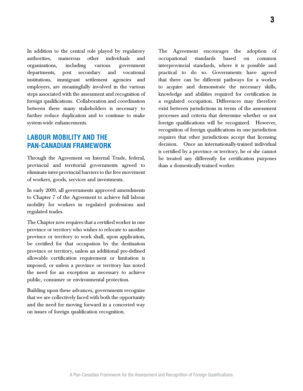In addition to the central role played by regulatory authorities, numerous other individuals and organizations, including various government departments, post secondary and vocational institutions, immigrant settlement agencies and employers, are meaningfully involved in the various steps associated with the assessment and recognition of foreign qualifications. Collaboration and coordination between these many stakeholders is necessary to further reduce duplication and to continue to make system-wide enhancements.

## **LABOUR MOBILITY AND THE PAN-CANADIAN FRAMEWORK**

Through the Agreement on Internal Trade, federal, provincial and territorial governments agreed to eliminate inter-provincial barriers to the free movement of workers, goods, services and investments.

In early 2009, all governments approved amendments to Chapter 7 of the Agreement to achieve full labour mobility for workers in regulated professions and regulated trades.

The Chapter now requires that a certified worker in one province or territory who wishes to relocate to another province or territory to work shall, upon application, be certified for that occupation by the destination province or territory, unless an additional pre-defined allowable certification requirement or limitation is imposed, or unless a province or territory has noted the need for an exception as necessary to achieve public, consumer or environmental protection.

Building upon these advances, governments recognize that we are collectively faced with both the opportunity and the need for moving forward in a concerted way on issues of foreign qualification recognition.

The Agreement encourages the adoption of occupational standards based on common

interprovincial standards, where it is possible and practical to do so. Governments have agreed that there can be different pathways for a worker to acquire and demonstrate the necessary skills, knowledge and abilities required for certification in a regulated occupation. Differences may therefore exist between jurisdictions in terms of the assessment processes and criteria that determine whether or not foreign qualifications will be recognized. However, recognition of foreign qualifications in one jurisdiction requires that other jurisdictions accept that licensing decision. Once an internationally-trained individual is certified by a province or territory, he or she cannot be treated any differently for certification purposes than a domestically-trained worker.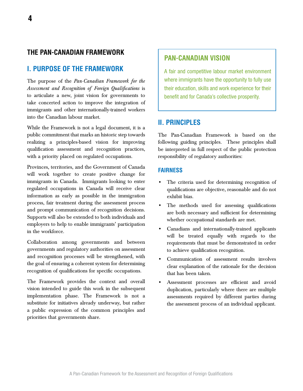## **The Pan-Canadian Framework**

#### **I. PURPOSE OF THE FRAMEWORK**

The purpose of the *Pan-Canadian Framework for the Assessment and Recognition of Foreign Qualifications* is to articulate a new, joint vision for governments to take concerted action to improve the integration of immigrants and other internationally-trained workers into the Canadian labour market.

While the Framework is not a legal document, it is a public commitment that marks an historic step towards realizing a principles-based vision for improving qualification assessment and recognition practices, with a priority placed on regulated occupations.

Provinces, territories, and the Government of Canada will work together to create positive change for immigrants in Canada. Immigrants looking to enter regulated occupations in Canada will receive clear information as early as possible in the immigration process, fair treatment during the assessment process and prompt communication of recognition decisions. Supports will also be extended to both individuals and employers to help to enable immigrants' participation in the workforce.

Collaboration among governments and between governments and regulatory authorities on assessment and recognition processes will be strengthened, with the goal of ensuring a coherent system for determining recognition of qualifications for specific occupations.

The Framework provides the context and overall vision intended to guide this work in the subsequent implementation phase. The Framework is not a substitute for initiatives already underway, but rather a public expression of the common principles and priorities that governments share.

#### **PAN-CANADIAN VISION**

A fair and competitive labour market environment where immigrants have the opportunity to fully use their education, skills and work experience for their benefit and for Canada's collective prosperity.

#### **II. PRINCIPLES**

The Pan-Canadian Framework is based on the following guiding principles. These principles shall be interpreted in full respect of the public protection responsibility of regulatory authorities:

#### **FAIRNESS**

- The criteria used for determining recognition of qualifications are objective, reasonable and do not exhibit bias.
- The methods used for assessing qualifications are both necessary and sufficient for determining whether occupational standards are met.
- Canadians and internationally-trained applicants will be treated equally with regards to the requirements that must be demonstrated in order to achieve qualification recognition.
- Communication of assessment results involves clear explanation of the rationale for the decision that has been taken.
- Assessment processes are efficient and avoid duplication, particularly where there are multiple assessments required by different parties during the assessment process of an individual applicant.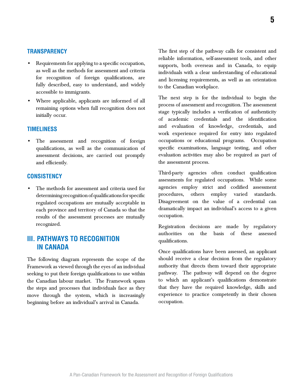#### A Pan-Canadian Framework for the Assessment and Recognition of Foreign Qualifications

**5**

## **TRANSPARENCY**

- Requirements for applying to a specific occupation, as well as the methods for assessment and criteria for recognition of foreign qualifications, are fully described, easy to understand, and widely accessible to immigrants.
- Where applicable, applicants are informed of all remaining options when full recognition does not initially occur.

#### **TIMELINESS**

The assessment and recognition of foreign qualifications, as well as the communication of assessment decisions, are carried out promptly and efficiently.

#### **CONSISTENCY**

The methods for assessment and criteria used for determining recognition of qualifications for specific regulated occupations are mutually acceptable in each province and territory of Canada so that the results of the assessment processes are mutually recognized.

## **III. PATHWAYS TO RECOGNITION IN CANADA**

The following diagram represents the scope of the Framework as viewed through the eyes of an individual seeking to put their foreign qualifications to use within the Canadian labour market. The Framework spans the steps and processes that individuals face as they move through the system, which is increasingly beginning before an individual's arrival in Canada.

The first step of the pathway calls for consistent and reliable information, self-assessment tools, and other supports, both overseas and in Canada, to equip individuals with a clear understanding of educational and licensing requirements, as well as an orientation to the Canadian workplace.

The next step is for the individual to begin the process of assessment and recognition. The assessment stage typically includes a verification of authenticity of academic credentials and the identification and evaluation of knowledge, credentials, and work experience required for entry into regulated occupations or educational programs. Occupation specific examinations, language testing, and other evaluation activities may also be required as part of the assessment process.

Third-party agencies often conduct qualification assessments for regulated occupations. While some agencies employ strict and codified assessment procedures, others employ varied standards. Disagreement on the value of a credential can dramatically impact an individual's access to a given occupation.

Registration decisions are made by regulatory authorities on the basis of these assessed qualifications.

Once qualifications have been assessed, an applicant should receive a clear decision from the regulatory authority that directs them toward their appropriate pathway. The pathway will depend on the degree to which an applicant's qualifications demonstrate that they have the required knowledge, skills and experience to practice competently in their chosen occupation.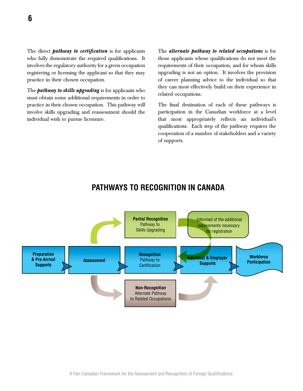The direct *pathway to certification* is for applicants who fully demonstrate the required qualifications. It involves the regulatory authority for a given occupation registering or licensing the applicant so that they may practice in their chosen occupation.

The *pathway to skills upgrading* is for applicants who must obtain some additional requirements in order to practice in their chosen occupation. This pathway will involve skills upgrading and reassessment should the individual wish to pursue licensure.

The *alternate pathway to related occupations* is for those applicants whose qualifications do not meet the requirements of their occupation, and for whom skills upgrading is not an option. It involves the provision of career planning advice to the individual so that they can most effectively build on their experience in related occupations.

The final destination of each of these pathways is participation in the Canadian workforce at a level that most appropriately reflects an individual's qualifications. Each step of the pathway requires the cooperation of a number of stakeholders and a variety of supports.



## **PATHWAYS TO RECOGNITION IN CANADA**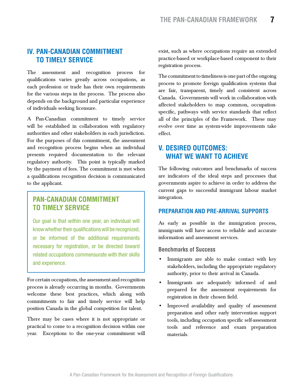## **IV. PAN-CANADIAN COMMITMENT TO TIMELY SERVICE**

The assessment and recognition process for qualifications varies greatly across occupations, as each profession or trade has their own requirements for the various steps in the process. The process also depends on the background and particular experience of individuals seeking licensure.

A Pan-Canadian commitment to timely service will be established in collaboration with regulatory authorities and other stakeholders in each jurisdiction. For the purposes of this commitment, the assessment and recognition process begins when an individual presents required documentation to the relevant regulatory authority. This point is typically marked by the payment of fees. The commitment is met when a qualifications recognition decision is communicated to the applicant.

## **PAN-CANADIAN COMMITMENT TO TIMELY SERVICE**

Our goal is that within one year, an individual will know whether their qualifications will be recognized, or be informed of the additional requirements necessary for registration, or be directed toward related occupations commensurate with their skills and experience.

For certain occupations, the assessment and recognition process is already occurring in months. Governments welcome these best practices, which along with commitments to fair and timely service will help position Canada in the global competition for talent.

There may be cases where it is not appropriate or practical to come to a recognition decision within one year. Exceptions to the one-year commitment will exist, such as where occupations require an extended practice-based or workplace-based component to their registration process.

The commitment to timeliness is one part of the ongoing process to promote foreign qualification systems that are fair, transparent, timely and consistent across Canada. Governments will work in collaboration with affected stakeholders to map common, occupationspecific, pathways with service standards that reflect all of the principles of the Framework. These may evolve over time as system-wide improvements take effect.

## **V. DESIRED OUTCOMES: WHAT WE WANT TO ACHIEVE**

The following outcomes and benchmarks of success are indicators of the ideal steps and processes that governments aspire to achieve in order to address the current gaps to successful immigrant labour market integration.

#### **PREPARATION AND PRE-ARRIVAL SUPPORTS**

As early as possible in the immigration process, immigrants will have access to reliable and accurate information and assessment services.

#### **Benchmarks of Success**

- Immigrants are able to make contact with key stakeholders, including the appropriate regulatory authority, prior to their arrival in Canada.
- Immigrants are adequately informed of and prepared for the assessment requirements for registration in their chosen field.
- Improved availability and quality of assessment preparation and other early intervention support tools, including occupation specific self-assessment tools and reference and exam preparation materials.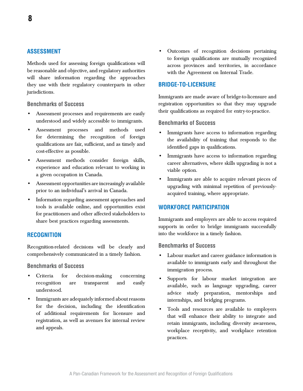Methods used for assessing foreign qualifications will be reasonable and objective, and regulatory authorities will share information regarding the approaches they use with their regulatory counterparts in other jurisdictions.

**Benchmarks of Success**

- Assessment processes and requirements are easily understood and widely accessible to immigrants.
- Assessment processes and methods used for determining the recognition of foreign qualifications are fair, sufficient, and as timely and cost-effective as possible.
- Assessment methods consider foreign skills, experience and education relevant to working in a given occupation in Canada.
- Assessment opportunities are increasingly available prior to an individual's arrival in Canada.
- Information regarding assessment approaches and tools is available online, and opportunities exist for practitioners and other affected stakeholders to share best practices regarding assessments.

#### **RECOGNITION**

Recognition-related decisions will be clearly and comprehensively communicated in a timely fashion.

**Benchmarks of Success**

- Criteria for decision-making concerning recognition are transparent and easily understood.
- Immigrants are adequately informed about reasons for the decision, including the identification of additional requirements for licensure and registration, as well as avenues for internal review and appeals.

• Outcomes of recognition decisions pertaining to foreign qualifications are mutually recognized across provinces and territories, in accordance with the Agreement on Internal Trade.

#### **BRIDGE-TO-LICENSURE**

Immigrants are made aware of bridge-to-licensure and registration opportunities so that they may upgrade their qualifications as required for entry-to-practice.

#### **Benchmarks of Success**

- Immigrants have access to information regarding the availability of training that responds to the identified gaps in qualifications.
- Immigrants have access to information regarding career alternatives, where skills upgrading is not a viable option.
- Immigrants are able to acquire relevant pieces of upgrading with minimal repetition of previouslyacquired training, where appropriate.

#### **WORKFORCE PARTICIPATION**

Immigrants and employers are able to access required supports in order to bridge immigrants successfully into the workforce in a timely fashion.

#### **Benchmarks of Success**

- Labour market and career guidance information is available to immigrants early and throughout the immigration process.
- Supports for labour market integration are available, such as language upgrading, career advice study preparation, mentorships and internships, and bridging programs.
- Tools and resources are available to employers that will enhance their ability to integrate and retain immigrants, including diversity awareness, workplace receptivity, and workplace retention practices.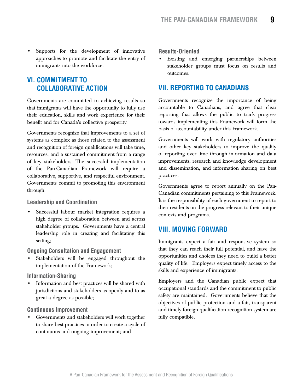Supports for the development of innovative approaches to promote and facilitate the entry of immigrants into the workforce.

## **VI. COMMITMENT TO COLLABORATIVE ACTION**

Governments are committed to achieving results so that immigrants will have the opportunity to fully use their education, skills and work experience for their benefit and for Canada's collective prosperity.

Governments recognize that improvements to a set of systems as complex as those related to the assessment and recognition of foreign qualifications will take time, resources, and a sustained commitment from a range of key stakeholders. The successful implementation of the Pan-Canadian Framework will require a collaborative, supportive, and respectful environment. Governments commit to promoting this environment through:

#### **Leadership and Coordination**

Successful labour market integration requires a high degree of collaboration between and across stakeholder groups. Governments have a central leadership role in creating and facilitating this setting;

#### **Ongoing Consultation and Engagement**

Stakeholders will be engaged throughout the implementation of the Framework;

#### **Information-Sharing**

• Information and best practices will be shared with jurisdictions and stakeholders as openly and to as great a degree as possible;

#### **Continuous Improvement**

• Governments and stakeholders will work together to share best practices in order to create a cycle of continuous and ongoing improvement; and

#### **Results-Oriented**

Existing and emerging partnerships between stakeholder groups must focus on results and outcomes.

## **VII. REPORTING TO CANADIANS**

Governments recognize the importance of being accountable to Canadians, and agree that clear reporting that allows the public to track progress towards implementing this Framework will form the basis of accountability under this Framework.

Governments will work with regulatory authorities and other key stakeholders to improve the quality of reporting over time through information and data improvements, research and knowledge development and dissemination, and information sharing on best practices.

Governments agree to report annually on the Pan-Canadian commitments pertaining to this Framework. It is the responsibility of each government to report to their residents on the progress relevant to their unique contexts and programs.

## **VIII. Moving Forward**

Immigrants expect a fair and responsive system so that they can reach their full potential, and have the opportunities and choices they need to build a better quality of life. Employers expect timely access to the skills and experience of immigrants.

Employers and the Canadian public expect that occupational standards and the commitment to public safety are maintained. Governments believe that the objectives of public protection and a fair, transparent and timely foreign qualification recognition system are fully compatible.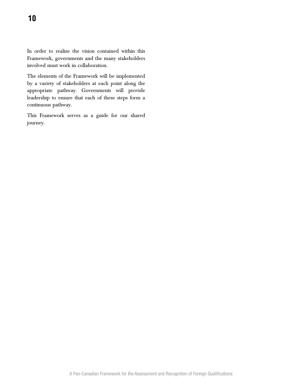In order to realize the vision contained within this Framework, governments and the many stakeholders involved must work in collaboration.

The elements of the Framework will be implemented by a variety of stakeholders at each point along the appropriate pathway. Governments will provide leadership to ensure that each of these steps form a continuous pathway.

This Framework serves as a guide for our shared journey.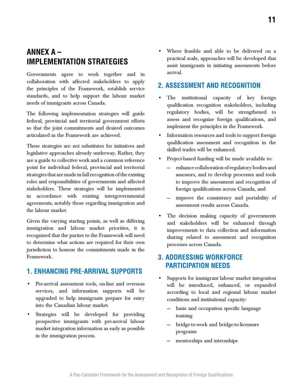## **ANNEX A – IMPLEMENTATION STRATEGIES**

Governments agree to work together and in collaboration with affected stakeholders to apply the principles of the Framework, establish service standards, and to help support the labour market needs of immigrants across Canada.

The following implementation strategies will guide federal, provincial and territorial government efforts so that the joint commitments and desired outcomes articulated in the Framework are achieved.

These strategies are not substitutes for initiatives and legislative approaches already underway. Rather, they are a guide to collective work and a common reference point for individual federal, provincial and territorial strategies that are made in full recognition of the existing roles and responsibilities of governments and affected stakeholders. These strategies will be implemented in accordance with existing intergovernmental agreements, notably those regarding immigration and the labour market.

Given the varying starting points, as well as differing immigration and labour market priorities, it is recognized that the parties to the Framework will need to determine what actions are required for their own jurisdiction to honour the commitments made in the Framework.

## **1. Enhancing Pre-Arrival SupportS**

- Pre-arrival assessment tools, on-line and overseas services, and information supports will be upgraded to help immigrants prepare for entry into the Canadian labour market.
- Strategies will be developed for providing prospective immigrants with pre-arrival labour market integration information as early as possible in the immigration process.

• Where feasible and able to be delivered on a practical scale, approaches will be developed that assist immigrants in initiating assessments before arrival.

## **2. ASSESSMENT AND RECOGNITION**

- The institutional capacity of key foreign qualification recognition stakeholders, including regulatory bodies, will be strengthened to assess and recognize foreign qualifications, and implement the principles in the Framework.
- Information resources and tools to support foreign qualification assessment and recognition in the skilled trades will be enhanced.
- Project-based funding will be made available to:
	- enhance collaboration of regulatory bodies and assessors, and to develop processes and tools to improve the assessment and recognition of foreign qualifications across Canada, and
	- improve the consistency and portability of assessment results across Canada.
- The decision making capacity of governments and stakeholders will be enhanced through improvements to data collection and information sharing related to assessment and recognition processes across Canada.

## **3. ADDRESSING Workforce Participation NEEDS**

- Supports for immigrant labour market integration will be introduced, enhanced, or expanded according to local and regional labour market conditions and institutional capacity:
	- basic and occupation specific language training
	- bridge-to-work and bridge-to-licensure programs
	- mentorships and internships